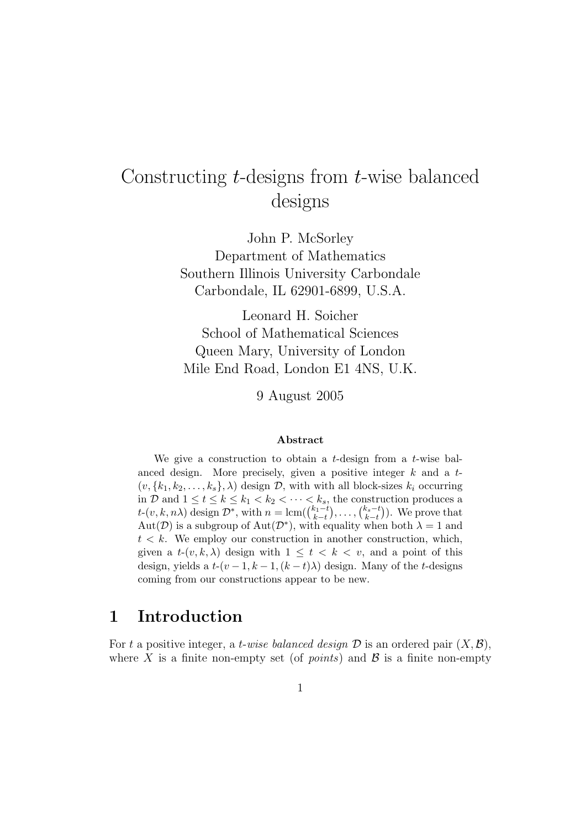# Constructing t-designs from t-wise balanced designs

John P. McSorley Department of Mathematics Southern Illinois University Carbondale Carbondale, IL 62901-6899, U.S.A.

Leonard H. Soicher School of Mathematical Sciences Queen Mary, University of London Mile End Road, London E1 4NS, U.K.

9 August 2005

#### Abstract

We give a construction to obtain a *t*-design from a *t*-wise balanced design. More precisely, given a positive integer  $k$  and a  $t$ - $(v, \{k_1, k_2, \ldots, k_s\}, \lambda)$  design  $\mathcal{D}$ , with with all block-sizes  $k_i$  occurring in D and  $1 \leq t \leq k \leq k_1 < k_2 < \cdots < k_s$ , the construction produces a  $t-(v, k, n\lambda)$  design  $\mathcal{D}^*$ , with  $n = \text{lcm}(\binom{k_1-t}{k-t}, \ldots, \binom{k_s-t}{k-t}$  $_{k-t}^{k_s-t}$ ). We prove that  $Aut(\mathcal{D})$  is a subgroup of  $Aut(\mathcal{D}^*)$ , with equality when both  $\lambda = 1$  and  $t < k$ . We employ our construction in another construction, which, given a  $t-(v, k, \lambda)$  design with  $1 \leq t < k < v$ , and a point of this design, yields a  $t-(v-1, k-1, (k-t)\lambda)$  design. Many of the t-designs coming from our constructions appear to be new.

### 1 Introduction

For t a positive integer, a t-wise balanced design  $\mathcal D$  is an ordered pair  $(X,\mathcal B)$ , where X is a finite non-empty set (of *points*) and  $\beta$  is a finite non-empty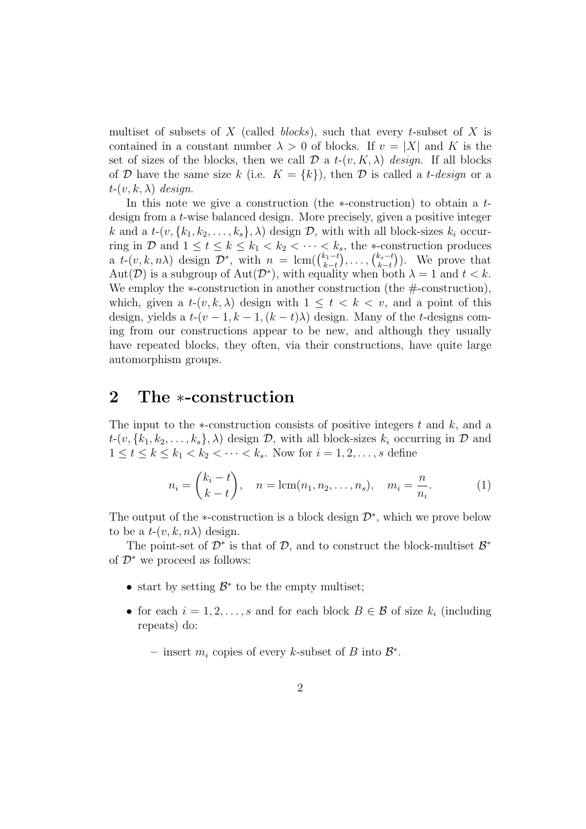multiset of subsets of X (called *blocks*), such that every t-subset of X is contained in a constant number  $\lambda > 0$  of blocks. If  $v = |X|$  and K is the set of sizes of the blocks, then we call  $\mathcal D$  a  $t$ - $(v, K, \lambda)$  design. If all blocks of D have the same size k (i.e.  $K = \{k\}$ ), then D is called a t-design or a  $t-(v, k, \lambda)$  design.

In this note we give a construction (the  $\ast$ -construction) to obtain a tdesign from a t-wise balanced design. More precisely, given a positive integer k and a  $t$ - $(v, \{k_1, k_2, \ldots, k_s\}, \lambda)$  design  $\mathcal{D}$ , with with all block-sizes  $k_i$  occurring in D and  $1 \le t \le k \le k_1 < k_2 < \cdots < k_s$ , the \*-construction produces a  $t-(v, k, n\lambda)$  design  $\mathcal{D}^*$ , with  $n = \text{lcm}(\binom{k_1-t}{k-t}$  ${k_1-t \choose k-t}, \ldots, {k_s-t \choose k-t}$  $_{k-t}^{k_s-t}$ ). We prove that Aut(D) is a subgroup of Aut(D<sup>\*</sup>), with equality when both  $\lambda = 1$  and  $t < k$ . We employ the  $\ast$ -construction in another construction (the  $\#$ -construction), which, given a  $t-(v, k, \lambda)$  design with  $1 \leq t < k < v$ , and a point of this design, yields a  $t-(v-1, k-1, (k-t)\lambda)$  design. Many of the t-designs coming from our constructions appear to be new, and although they usually have repeated blocks, they often, via their constructions, have quite large automorphism groups.

### 2 The ∗-construction

The input to the  $\ast$ -construction consists of positive integers t and k, and a  $t$ - $(v, \{k_1, k_2, \ldots, k_s\}, \lambda)$  design  $\mathcal{D}$ , with all block-sizes  $k_i$  occurring in  $\mathcal{D}$  and  $1 \le t \le k \le k_1 < k_2 < \cdots < k_s$ . Now for  $i = 1, 2, ..., s$  define

$$
n_i = {k_i - t \choose k - t}, \quad n = \text{lcm}(n_1, n_2, \dots, n_s), \quad m_i = \frac{n}{n_i}.
$$
 (1)

The output of the  $\ast$ -construction is a block design  $\mathcal{D}^*$ , which we prove below to be a  $t-(v, k, n\lambda)$  design.

The point-set of  $\mathcal{D}^*$  is that of  $\mathcal{D}$ , and to construct the block-multiset  $\mathcal{B}^*$ of  $\mathcal{D}^*$  we proceed as follows:

- start by setting  $\mathcal{B}^*$  to be the empty multiset;
- for each  $i = 1, 2, \ldots, s$  and for each block  $B \in \mathcal{B}$  of size  $k_i$  (including repeats) do:
	- insert  $m_i$  copies of every k-subset of B into  $\mathcal{B}^*$ .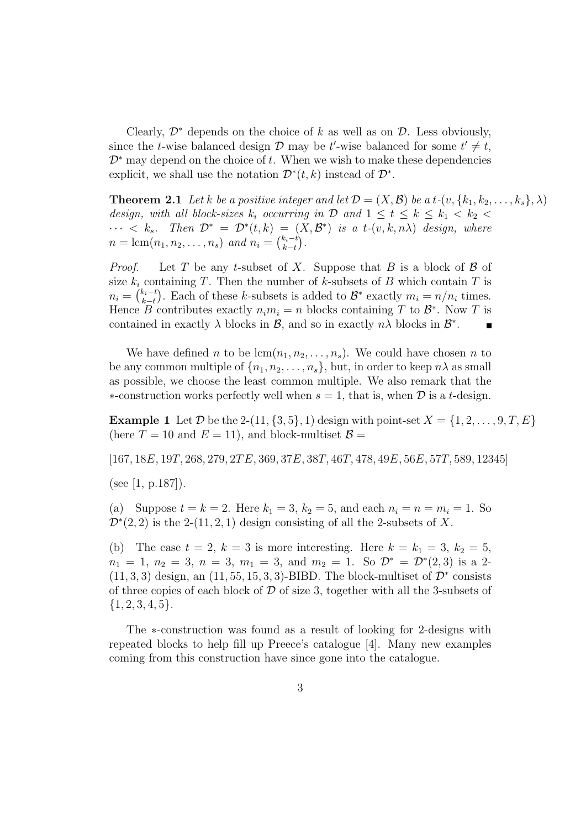Clearly,  $\mathcal{D}^*$  depends on the choice of k as well as on  $\mathcal{D}$ . Less obviously, since the *t*-wise balanced design  $D$  may be *t*'-wise balanced for some  $t' \neq t$ ,  $\mathcal{D}^*$  may depend on the choice of t. When we wish to make these dependencies explicit, we shall use the notation  $\mathcal{D}^*(t,k)$  instead of  $\mathcal{D}^*$ .

**Theorem 2.1** Let k be a positive integer and let  $\mathcal{D} = (X, \mathcal{B})$  be a t- $(v, \{k_1, k_2, \ldots, k_s\}, \lambda)$ design, with all block-sizes  $k_i$  occurring in  $\mathcal{D}$  and  $1 \leq t \leq k \leq k_1 < k_2$  $\cdots < k_s$ . Then  $\mathcal{D}^* = \mathcal{D}^*(t, k) = (X, \mathcal{B}^*)$  is a t- $(v, k, n\lambda)$  design, where  $n = \text{lcm}(n_1, n_2, \ldots, n_s)$  and  $n_i = \binom{k_i - t}{k - t}$  $_{k-t}^{k_i-t}$ .

*Proof.* Let T be any t-subset of X. Suppose that B is a block of B of size  $k_i$  containing T. Then the number of k-subsets of B which contain T is  $n_i = \binom{k_i-t}{k-t}$  $(k_i-t)$ . Each of these k-subsets is added to  $\mathcal{B}^*$  exactly  $m_i = n/n_i$  times. Hence B contributes exactly  $n_i m_i = n$  blocks containing T to  $\mathcal{B}^*$ . Now T is contained in exactly  $\lambda$  blocks in  $\mathcal{B}$ , and so in exactly  $n\lambda$  blocks in  $\mathcal{B}^*$ .

We have defined n to be  $lcm(n_1, n_2, \ldots, n_s)$ . We could have chosen n to be any common multiple of  $\{n_1, n_2, \ldots, n_s\}$ , but, in order to keep  $n\lambda$  as small as possible, we choose the least common multiple. We also remark that the ∗-construction works perfectly well when  $s = 1$ , that is, when  $\mathcal D$  is a t-design.

**Example 1** Let  $\mathcal{D}$  be the 2-(11, {3, 5}, 1) design with point-set  $X = \{1, 2, \ldots, 9, T, E\}$ (here  $T = 10$  and  $E = 11$ ), and block-multiset  $\mathcal{B} =$ 

 $[167, 18E, 19T, 268, 279, 2TE, 369, 37E, 38T, 46T, 478, 49E, 56E, 57T, 589, 12345]$ 

(see [1, p.187]).

(a) Suppose  $t = k = 2$ . Here  $k_1 = 3$ ,  $k_2 = 5$ , and each  $n_i = n = m_i = 1$ . So  $\mathcal{D}^*(2,2)$  is the 2-(11, 2, 1) design consisting of all the 2-subsets of X.

(b) The case  $t = 2$ ,  $k = 3$  is more interesting. Here  $k = k_1 = 3$ ,  $k_2 = 5$ ,  $n_1 = 1, n_2 = 3, n = 3, m_1 = 3, \text{ and } m_2 = 1. \text{ So } \mathcal{D}^* = \mathcal{D}^*(2,3) \text{ is a } 2$  $(11, 3, 3)$  design, an  $(11, 55, 15, 3, 3)$ -BIBD. The block-multiset of  $\mathcal{D}^*$  consists of three copies of each block of  $\mathcal D$  of size 3, together with all the 3-subsets of  ${1, 2, 3, 4, 5}.$ 

The ∗-construction was found as a result of looking for 2-designs with repeated blocks to help fill up Preece's catalogue [4]. Many new examples coming from this construction have since gone into the catalogue.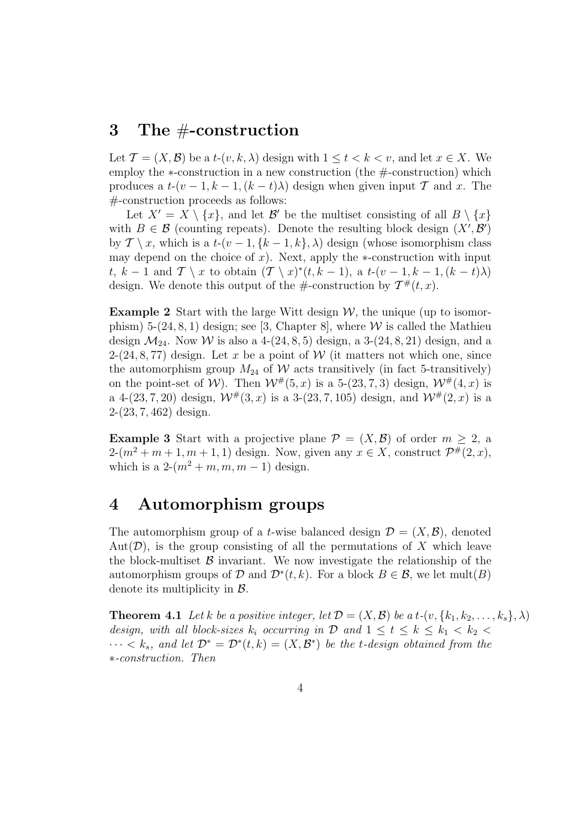#### 3 The #-construction

Let  $\mathcal{T} = (X, \mathcal{B})$  be a  $t$ - $(v, k, \lambda)$  design with  $1 \le t < k < v$ , and let  $x \in X$ . We employ the ∗-construction in a new construction (the #-construction) which produces a  $t-(v-1, k-1, (k-t)\lambda)$  design when given input T and x. The #-construction proceeds as follows:

Let  $X' = X \setminus \{x\}$ , and let  $\mathcal{B}'$  be the multiset consisting of all  $B \setminus \{x\}$ with  $B \in \mathcal{B}$  (counting repeats). Denote the resulting block design  $(X', \mathcal{B}')$ by  $\mathcal{T} \setminus x$ , which is a  $t$ - $(v-1, \{k-1, k\}, \lambda)$  design (whose isomorphism class may depend on the choice of x). Next, apply the  $\ast$ -construction with input t, k – 1 and  $\mathcal{T} \setminus x$  to obtain  $(\mathcal{T} \setminus x)^*(t, k-1)$ , a  $t-(v-1, k-1, (k-t)\lambda)$ design. We denote this output of the  $\#$ -construction by  $\mathcal{T}^{\#}(t,x)$ .

**Example 2** Start with the large Witt design  $W$ , the unique (up to isomorphism) 5-(24, 8, 1) design; see [3, Chapter 8], where  $W$  is called the Mathieu design  $\mathcal{M}_{24}$ . Now W is also a 4-(24, 8, 5) design, a 3-(24, 8, 21) design, and a 2-(24, 8, 77) design. Let x be a point of W (it matters not which one, since the automorphism group  $M_{24}$  of W acts transitively (in fact 5-transitively) on the point-set of W). Then  $W^{\#}(5, x)$  is a 5-(23, 7, 3) design,  $W^{\#}(4, x)$  is a 4-(23, 7, 20) design,  $W^{\#}(3, x)$  is a 3-(23, 7, 105) design, and  $W^{\#}(2, x)$  is a 2-(23, 7, 462) design.

**Example 3** Start with a projective plane  $\mathcal{P} = (X, \mathcal{B})$  of order  $m \geq 2$ , a  $2-(m^2+m+1,m+1,1)$  design. Now, given any  $x \in X$ , construct  $\mathcal{P}^{\#}(2,x)$ , which is a  $2-(m^2+m, m, m-1)$  design.

### 4 Automorphism groups

The automorphism group of a *t*-wise balanced design  $\mathcal{D} = (X, \mathcal{B})$ , denoted Aut $(\mathcal{D})$ , is the group consisting of all the permutations of X which leave the block-multiset  $\beta$  invariant. We now investigate the relationship of the automorphism groups of D and  $\mathcal{D}^*(t, k)$ . For a block  $B \in \mathcal{B}$ , we let mult $(B)$ denote its multiplicity in B.

**Theorem 4.1** Let k be a positive integer, let  $\mathcal{D} = (X, \mathcal{B})$  be a t- $(v, \{k_1, k_2, \ldots, k_s\}, \lambda)$ design, with all block-sizes  $k_i$  occurring in  $\mathcal{D}$  and  $1 \leq t \leq k \leq k_1 < k_2$  $\cdots < k_s$ , and let  $\mathcal{D}^* = \mathcal{D}^*(t, k) = (X, \mathcal{B}^*)$  be the t-design obtained from the ∗-construction. Then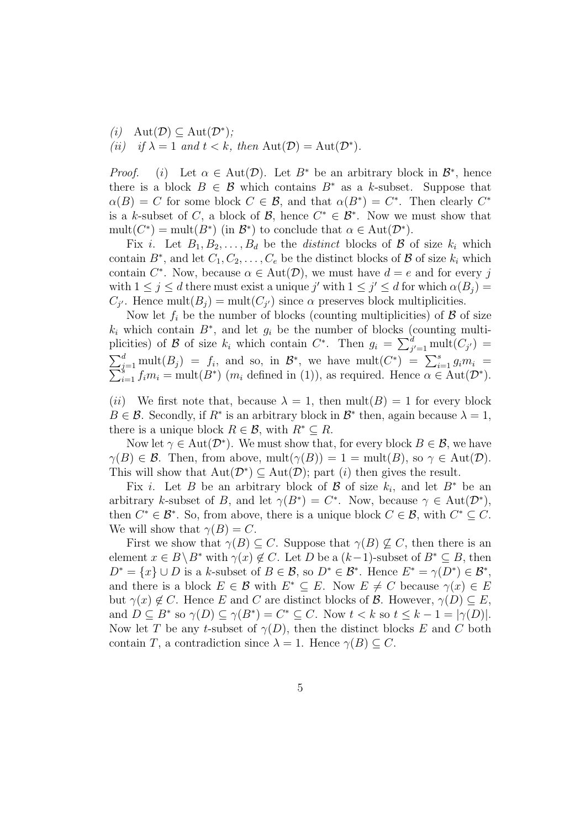(i) 
$$
\text{Aut}(\mathcal{D}) \subseteq \text{Aut}(\mathcal{D}^*);
$$
  
(ii) if  $\lambda = 1$  and  $t < k$ , then  $\text{Aut}(\mathcal{D}) = \text{Aut}(\mathcal{D}^*).$ 

*Proof.* (i) Let  $\alpha \in Aut(\mathcal{D})$ . Let  $B^*$  be an arbitrary block in  $\mathcal{B}^*$ , hence there is a block  $B \in \mathcal{B}$  which contains  $B^*$  as a k-subset. Suppose that  $\alpha(B) = C$  for some block  $C \in \mathcal{B}$ , and that  $\alpha(B^*) = C^*$ . Then clearly  $C^*$ is a k-subset of C, a block of B, hence  $C^* \in \mathcal{B}^*$ . Now we must show that mult( $C^*$ ) = mult( $B^*$ ) (in  $B^*$ ) to conclude that  $\alpha \in \text{Aut}(\mathcal{D}^*)$ .

Fix i. Let  $B_1, B_2, \ldots, B_d$  be the *distinct* blocks of  $\mathcal B$  of size  $k_i$  which contain  $B^*$ , and let  $C_1, C_2, \ldots, C_e$  be the distinct blocks of  $B$  of size  $k_i$  which contain  $C^*$ . Now, because  $\alpha \in \text{Aut}(\mathcal{D})$ , we must have  $d = e$  and for every j with  $1 \leq j \leq d$  there must exist a unique j' with  $1 \leq j' \leq d$  for which  $\alpha(B_j)$  =  $C_{j'}$ . Hence mult $(B_j) = \text{mult}(C_{j'})$  since  $\alpha$  preserves block multiplicities.

Now let  $f_i$  be the number of blocks (counting multiplicities) of  $\beta$  of size  $k_i$  which contain  $B^*$ , and let  $g_i$  be the number of blocks (counting multiplicities) of B of size  $k_i$  which contain  $C^*$ . Then  $g_i = \sum_{j'=1}^d \text{mult}(C_{j'})$  $\sum_{j=1}^d \text{mult}(B_j) = f_i$ , and so, in  $\mathcal{B}^*$ , we have mult $(C^*) = \sum_{i=1}^s f_i m_i = \text{mult}(B^*)$   $(m_i$  defined in (1)), as required. Hence  $\alpha \in A$  $g_{j=1}^a$  mult $(B_j) = f_i$ , and so, in  $\mathcal{B}^*$ , we have mult $(C^*) = \sum_{i=1}^s g_i m_i = \frac{s}{h}$ <br> $g_{i=1} f_i m_i = \text{mult}(B^*)$   $(m_i$  defined in (1)), as required. Hence  $\alpha \in \text{Aut}(\mathcal{D}^*)$ .

(ii) We first note that, because  $\lambda = 1$ , then mult(B) = 1 for every block  $B \in \mathcal{B}$ . Secondly, if  $R^*$  is an arbitrary block in  $\mathcal{B}^*$  then, again because  $\lambda = 1$ , there is a unique block  $R \in \mathcal{B}$ , with  $R^* \subseteq R$ .

Now let  $\gamma \in \text{Aut}(\mathcal{D}^*)$ . We must show that, for every block  $B \in \mathcal{B}$ , we have  $\gamma(B) \in \mathcal{B}$ . Then, from above, mult $(\gamma(B)) = 1 = \text{mult}(B)$ , so  $\gamma \in \text{Aut}(\mathcal{D})$ . This will show that  $Aut(\mathcal{D}^*) \subseteq Aut(\mathcal{D})$ ; part *(i)* then gives the result.

Fix *i*. Let B be an arbitrary block of B of size  $k_i$ , and let  $B^*$  be an arbitrary k-subset of B, and let  $\gamma(B^*) = C^*$ . Now, because  $\gamma \in \text{Aut}(\mathcal{D}^*)$ , then  $C^* \in \mathcal{B}^*$ . So, from above, there is a unique block  $C \in \mathcal{B}$ , with  $C^* \subseteq C$ . We will show that  $\gamma(B) = C$ .

First we show that  $\gamma(B) \subseteq C$ . Suppose that  $\gamma(B) \not\subseteq C$ , then there is an element  $x \in B \backslash B^*$  with  $\gamma(x) \notin C$ . Let D be a  $(k-1)$ -subset of  $B^* \subseteq B$ , then  $D^* = \{x\} \cup D$  is a k-subset of  $B \in \mathcal{B}$ , so  $D^* \in \mathcal{B}^*$ . Hence  $E^* = \gamma(D^*) \in \mathcal{B}^*$ , and there is a block  $E \in \mathcal{B}$  with  $E^* \subseteq E$ . Now  $E \neq C$  because  $\gamma(x) \in E$ but  $\gamma(x) \notin C$ . Hence E and C are distinct blocks of B. However,  $\gamma(D) \subseteq E$ , and  $D \subseteq B^*$  so  $\gamma(D) \subseteq \gamma(B^*) = C^* \subseteq C$ . Now  $t < k$  so  $t \leq k - 1 = |\gamma(D)|$ . Now let T be any t-subset of  $\gamma(D)$ , then the distinct blocks E and C both contain T, a contradiction since  $\lambda = 1$ . Hence  $\gamma(B) \subset C$ .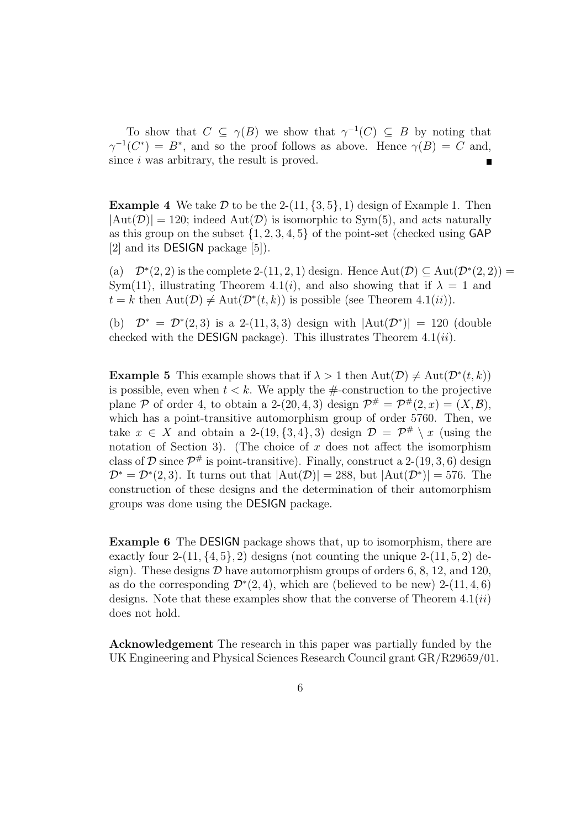To show that  $C \subseteq \gamma(B)$  we show that  $\gamma^{-1}(C) \subseteq B$  by noting that  $\gamma^{-1}(C^*) = B^*$ , and so the proof follows as above. Hence  $\gamma(B) = C$  and, since i was arbitrary, the result is proved.

**Example 4** We take  $D$  to be the 2-(11,  $\{3, 5\}$ , 1) design of Example 1. Then  $|\text{Aut}(\mathcal{D})| = 120$ ; indeed  $\text{Aut}(\mathcal{D})$  is isomorphic to Sym(5), and acts naturally as this group on the subset  $\{1, 2, 3, 4, 5\}$  of the point-set (checked using GAP [2] and its DESIGN package [5]).

(a)  $\mathcal{D}^*(2,2)$  is the complete 2-(11, 2, 1) design. Hence  $\text{Aut}(\mathcal{D}) \subseteq \text{Aut}(\mathcal{D}^*(2,2)) =$ Sym(11), illustrating Theorem 4.1(*i*), and also showing that if  $\lambda = 1$  and  $t = k$  then  $\text{Aut}(\mathcal{D}) \neq \text{Aut}(\mathcal{D}^*(t, k))$  is possible (see Theorem 4.1(*ii*)).

(b)  $\mathcal{D}^* = \mathcal{D}^*(2,3)$  is a 2-(11, 3, 3) design with  $|Aut(\mathcal{D}^*)| = 120$  (double checked with the **DESIGN** package). This illustrates Theorem  $4.1(ii)$ .

**Example 5** This example shows that if  $\lambda > 1$  then  $\text{Aut}(\mathcal{D}) \neq \text{Aut}(\mathcal{D}^*(t, k))$ is possible, even when  $t < k$ . We apply the  $\#$ -construction to the projective plane P of order 4, to obtain a 2-(20, 4, 3) design  $\mathcal{P}^{\#} = \mathcal{P}^{\#}(2,x) = (X,\mathcal{B}),$ which has a point-transitive automorphism group of order 5760. Then, we take  $x \in X$  and obtain a 2-(19, {3, 4}, 3) design  $\mathcal{D} = \mathcal{P}^{\#} \setminus x$  (using the notation of Section 3). (The choice of  $x$  does not affect the isomorphism class of  $\mathcal D$  since  $\mathcal P^{\#}$  is point-transitive). Finally, construct a 2-(19, 3, 6) design  $\mathcal{D}^* = \mathcal{D}^*(2,3)$ . It turns out that  $|\text{Aut}(\mathcal{D})| = 288$ , but  $|\text{Aut}(\mathcal{D}^*)| = 576$ . The construction of these designs and the determination of their automorphism groups was done using the DESIGN package.

Example 6 The DESIGN package shows that, up to isomorphism, there are exactly four  $2-(11, \{4, 5\}, 2)$  designs (not counting the unique  $2-(11, 5, 2)$  design). These designs  $D$  have automorphism groups of orders 6, 8, 12, and 120, as do the corresponding  $\mathcal{D}^*(2,4)$ , which are (believed to be new) 2-(11, 4, 6) designs. Note that these examples show that the converse of Theorem  $4.1(ii)$ does not hold.

Acknowledgement The research in this paper was partially funded by the UK Engineering and Physical Sciences Research Council grant GR/R29659/01.